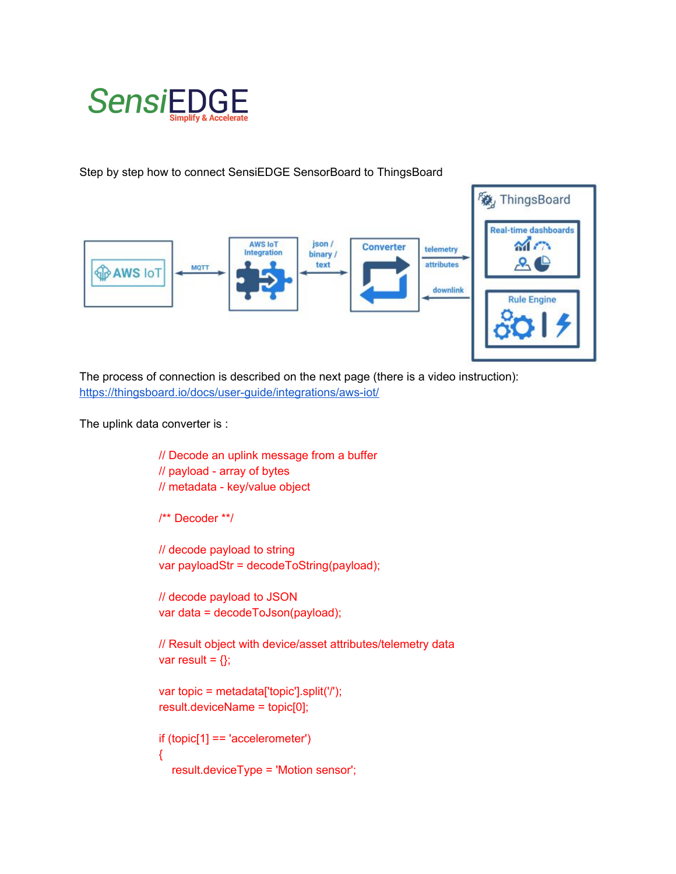

Step by step how to connect SensiEDGE SensorBoard to ThingsBoard



The process of connection is described on the next page (there is a video instruction): <https://thingsboard.io/docs/user-guide/integrations/aws-iot/>

The uplink data converter is :

```
// Decode an uplink message from a buffer
// payload - array of bytes
// metadata - key/value object
/** Decoder **/
// decode payload to string
var payloadStr = decodeToString(payload);
// decode payload to JSON
var data = decodeToJson(payload);
// Result object with device/asset attributes/telemetry data
var result = \{\};
var topic = metadata['topic'].split('/');
result.deviceName = topic[0];
if (topic[1] == 'accelerometer')
{
   result.deviceType = 'Motion sensor';
```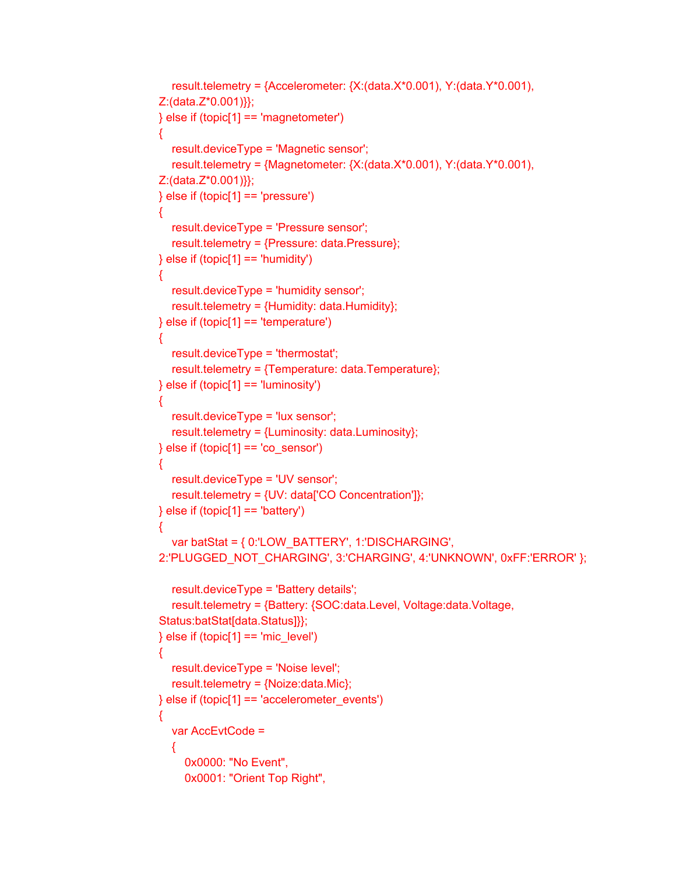```
result.telemetry = {Accelerometer: } X:(data.X*0.001), Y:(data.Y*0.001),Z:(data.Z*0.001)}};
\} else if (topic[1] == 'magnetometer')
{
   result.deviceType = 'Magnetic sensor';
  result.telemetry = {Magnetometer: } X:(data.X*0.001), Y:(data.Y*0.001),Z:(data.Z*0.001)}};
\} else if (topic[1] == 'pressure')
{
   result.deviceType = 'Pressure sensor';
   result.telemetry = {Pressure: data.Pressure};
\} else if (topic[1] == 'humidity')
{
   result.deviceType = 'humidity sensor';
   result.telemetry = {Humidity: data.Humidity};
\} else if (topic[1] == 'temperature')
{
   result.deviceType = 'thermostat';
   result.telemetry = {Temperature: data.Temperature};
\} else if (topic[1] == 'luminosity')
{
   result.deviceType = 'lux sensor';
   result.telemetry = {Luminosity: data.Luminosity};
\} else if (topic[1] == 'co_sensor')
{
   result.deviceType = 'UV sensor';
   result.telemetry = {UV: data['CO Concentration']};
\} else if (topic[1] == 'battery')
{
   var batStat = { 0:'LOW_BATTERY', 1:'DISCHARGING',
2:'PLUGGED_NOT_CHARGING', 3:'CHARGING', 4:'UNKNOWN', 0xFF:'ERROR' };
   result.deviceType = 'Battery details';
   result.telemetry = {Battery: {SOC:data.Level, Voltage:data.Voltage,
Status:batStat[data.Status]}};
\} else if (topic[1] == 'mic_level')
{
   result.deviceType = 'Noise level';
  result.telemetry = {Noize: data.Mic};
} else if (topic[1] == 'accelerometer_events')
{
   var AccEvtCode =
   {
      0x0000: "No Event",
      0x0001: "Orient Top Right",
```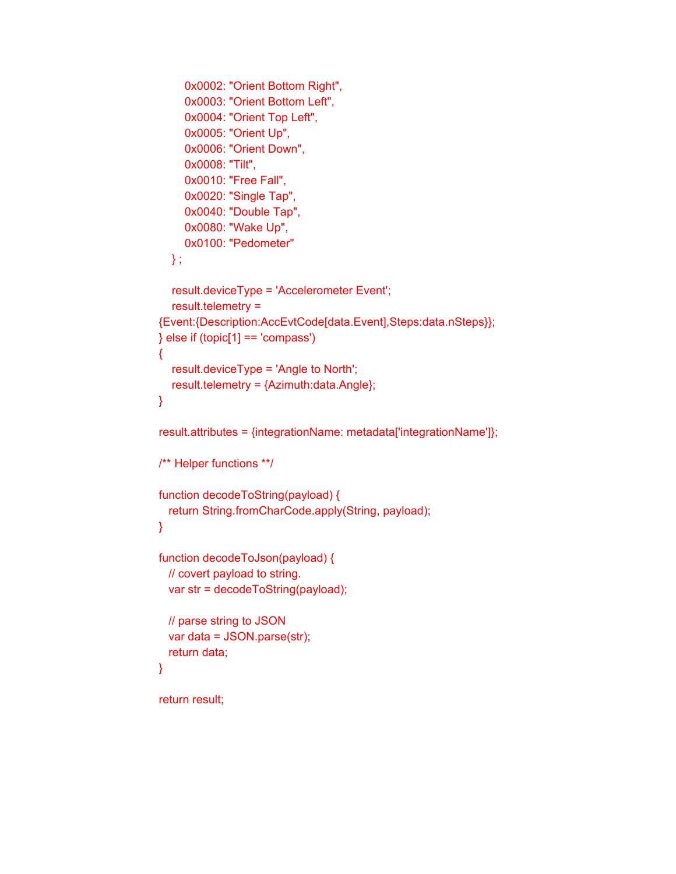```
 0x0002: "Orient Bottom Right",
      0x0003: "Orient Bottom Left",
      0x0004: "Orient Top Left",
      0x0005: "Orient Up",
      0x0006: "Orient Down",
      0x0008: "Tilt",
      0x0010: "Free Fall",
      0x0020: "Single Tap",
      0x0040: "Double Tap",
      0x0080: "Wake Up",
      0x0100: "Pedometer"
   } ;
   result.deviceType = 'Accelerometer Event';
  result.telemetry =
{Event:{Description:AccEvtCode[data.Event],Steps:data.nSteps}};
} else if (topic[1] == 'compass')
{
   result.deviceType = 'Angle to North';
   result.telemetry = {Azimuth:data.Angle};
}
result.attributes = {integrationName: metadata['integrationName']};
/** Helper functions **/
function decodeToString(payload) {
  return String.fromCharCode.apply(String, payload);
}
function decodeToJson(payload) {
  // covert payload to string.
  var str = decodeToString(payload);
  // parse string to JSON
  var data = JSON.parse(str);
  return data;
}
return result;
```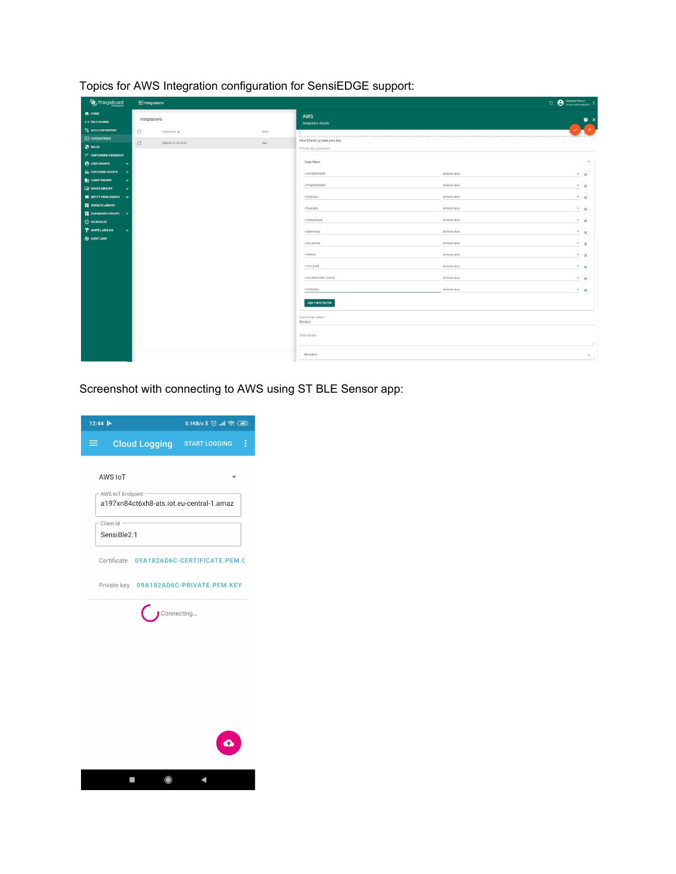Topics for AWS Integration configuration for SensiEDGE support:

| ThingsBoard                                    | $\Box$ Integrations |                     |                | $\overline{C}$ <b>e</b> oleksandr Boxyi <b>i</b> |              |                         |  |  |
|------------------------------------------------|---------------------|---------------------|----------------|--------------------------------------------------|--------------|-------------------------|--|--|
| <b>A</b> HOME<br><b>&lt;- &gt; RULE CHAINS</b> | Integrations        |                     |                | AWS<br>Integration details                       |              | $\bullet$ $\times$      |  |  |
| <sup>1</sup> <sub>2</sub> DATA CONVERTERS      | $\Box$              | Created time 4      | Name           | <b><i><u>A</u></i> A A A A A A A</b>             |              |                         |  |  |
| E INTEGRATIONS                                 | $\Box$              | 2020-07-27 23:40:42 | $\mathsf{Ans}$ | 09a182ad6c-private.pem.key                       |              |                         |  |  |
| <b>O</b> ROLES                                 |                     |                     |                | Private key password                             |              |                         |  |  |
| $=$ CUSTOMERS HIERARCHY                        |                     |                     |                | Topic filters                                    |              | $\widehat{\phantom{a}}$ |  |  |
| <b>A</b> USER GROUPS<br>$\checkmark$           |                     |                     |                |                                                  |              |                         |  |  |
| $22$ CUSTOMER GROUPS<br>$\checkmark$           |                     |                     |                | +/accelerometer                                  | At most once | $^{\star}$ $\times$     |  |  |
| <b>Bu</b> ASSET GROUPS                         |                     |                     |                | +/magnetometer                                   | At most once | $x \times$              |  |  |
| <b>LED</b> DEVICE GROUPS                       |                     |                     |                |                                                  |              |                         |  |  |
| <b>EX ENTITY VIEW GROUPS V</b>                 |                     |                     |                | +/pressure                                       | At most once | $\cdot$ $\times$        |  |  |
| WIDGETS LIBRARY                                |                     |                     |                | +/humidity                                       | At most once | $\cdot$ $\times$        |  |  |
| <b>E</b> DASHBOARD GROUPS V                    |                     |                     |                |                                                  |              |                         |  |  |
| <b>O</b> SCHEDULER                             |                     |                     |                | +/temperature                                    | At most once | $\cdot$ $\times$        |  |  |
| P WHITE LABELING                               |                     |                     |                | +/luminosity                                     | At most once | $- x$                   |  |  |
| @ AUDIT LOGS                                   |                     |                     |                | +/co_sensor                                      | At most once | $*$ $\times$            |  |  |
|                                                |                     |                     |                | +/battery                                        | At most once | $x \times$              |  |  |
|                                                |                     |                     |                | +/mic_level                                      | At most once | $\cdot$ $\times$        |  |  |
|                                                |                     |                     |                | +/accelerometer_events                           | At most once | $- x$                   |  |  |
|                                                |                     |                     |                | +/compass                                        | At most once | $\cdot$ $\times$        |  |  |
|                                                |                     |                     |                | ADD TOPIC FILTER                                 |              |                         |  |  |
|                                                |                     |                     |                | Downlink topic pattern *<br>\${topic}            |              |                         |  |  |
|                                                |                     |                     |                | Description                                      |              |                         |  |  |
|                                                |                     |                     |                | Metadata                                         |              | $\checkmark$            |  |  |

Screenshot with connecting to AWS using ST BLE Sensor app: